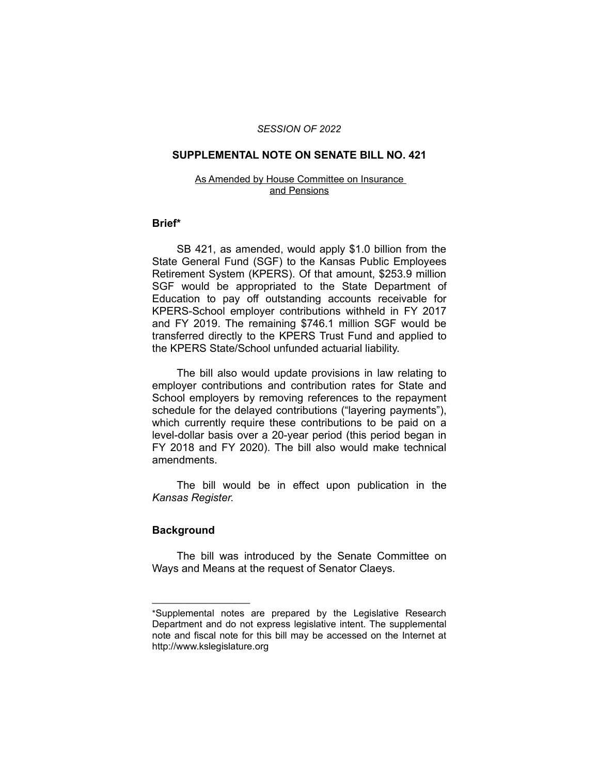### *SESSION OF 2022*

#### **SUPPLEMENTAL NOTE ON SENATE BILL NO. 421**

#### As Amended by House Committee on Insurance and Pensions

### **Brief\***

SB 421, as amended, would apply \$1.0 billion from the State General Fund (SGF) to the Kansas Public Employees Retirement System (KPERS). Of that amount, \$253.9 million SGF would be appropriated to the State Department of Education to pay off outstanding accounts receivable for KPERS-School employer contributions withheld in FY 2017 and FY 2019. The remaining \$746.1 million SGF would be transferred directly to the KPERS Trust Fund and applied to the KPERS State/School unfunded actuarial liability.

The bill also would update provisions in law relating to employer contributions and contribution rates for State and School employers by removing references to the repayment schedule for the delayed contributions ("layering payments"), which currently require these contributions to be paid on a level-dollar basis over a 20-year period (this period began in FY 2018 and FY 2020). The bill also would make technical amendments.

The bill would be in effect upon publication in the *Kansas Register.*

## **Background**

 $\overline{\phantom{a}}$  , where  $\overline{\phantom{a}}$  , where  $\overline{\phantom{a}}$ 

The bill was introduced by the Senate Committee on Ways and Means at the request of Senator Claeys.

<sup>\*</sup>Supplemental notes are prepared by the Legislative Research Department and do not express legislative intent. The supplemental note and fiscal note for this bill may be accessed on the Internet at http://www.kslegislature.org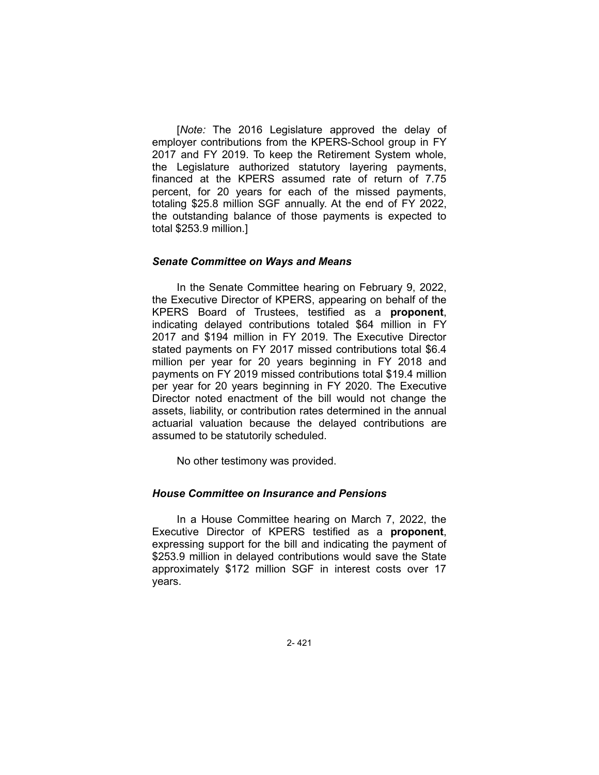[*Note:* The 2016 Legislature approved the delay of employer contributions from the KPERS-School group in FY 2017 and FY 2019. To keep the Retirement System whole, the Legislature authorized statutory layering payments, financed at the KPERS assumed rate of return of 7.75 percent, for 20 years for each of the missed payments, totaling \$25.8 million SGF annually. At the end of FY 2022, the outstanding balance of those payments is expected to total \$253.9 million.]

### *Senate Committee on Ways and Means*

In the Senate Committee hearing on February 9, 2022, the Executive Director of KPERS, appearing on behalf of the KPERS Board of Trustees, testified as a **proponent**, indicating delayed contributions totaled \$64 million in FY 2017 and \$194 million in FY 2019. The Executive Director stated payments on FY 2017 missed contributions total \$6.4 million per year for 20 years beginning in FY 2018 and payments on FY 2019 missed contributions total \$19.4 million per year for 20 years beginning in FY 2020. The Executive Director noted enactment of the bill would not change the assets, liability, or contribution rates determined in the annual actuarial valuation because the delayed contributions are assumed to be statutorily scheduled.

No other testimony was provided.

### *House Committee on Insurance and Pensions*

In a House Committee hearing on March 7, 2022, the Executive Director of KPERS testified as a **proponent**, expressing support for the bill and indicating the payment of \$253.9 million in delayed contributions would save the State approximately \$172 million SGF in interest costs over 17 years.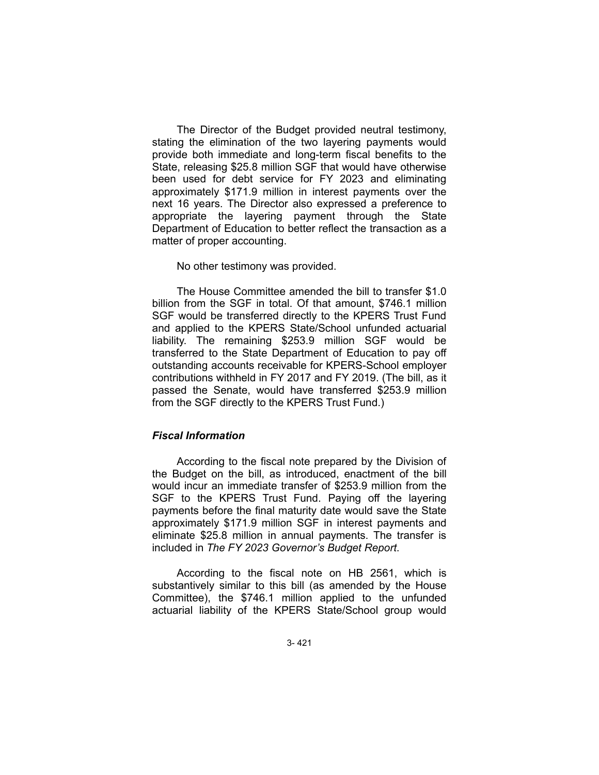The Director of the Budget provided neutral testimony, stating the elimination of the two layering payments would provide both immediate and long-term fiscal benefits to the State, releasing \$25.8 million SGF that would have otherwise been used for debt service for FY 2023 and eliminating approximately \$171.9 million in interest payments over the next 16 years. The Director also expressed a preference to appropriate the layering payment through the State Department of Education to better reflect the transaction as a matter of proper accounting.

#### No other testimony was provided.

The House Committee amended the bill to transfer \$1.0 billion from the SGF in total. Of that amount, \$746.1 million SGF would be transferred directly to the KPERS Trust Fund and applied to the KPERS State/School unfunded actuarial liability. The remaining \$253.9 million SGF would be transferred to the State Department of Education to pay off outstanding accounts receivable for KPERS-School employer contributions withheld in FY 2017 and FY 2019. (The bill, as it passed the Senate, would have transferred \$253.9 million from the SGF directly to the KPERS Trust Fund.)

# *Fiscal Information*

According to the fiscal note prepared by the Division of the Budget on the bill, as introduced, enactment of the bill would incur an immediate transfer of \$253.9 million from the SGF to the KPERS Trust Fund. Paying off the layering payments before the final maturity date would save the State approximately \$171.9 million SGF in interest payments and eliminate \$25.8 million in annual payments. The transfer is included in *The FY 2023 Governor's Budget Report*.

According to the fiscal note on HB 2561, which is substantively similar to this bill (as amended by the House Committee), the \$746.1 million applied to the unfunded actuarial liability of the KPERS State/School group would